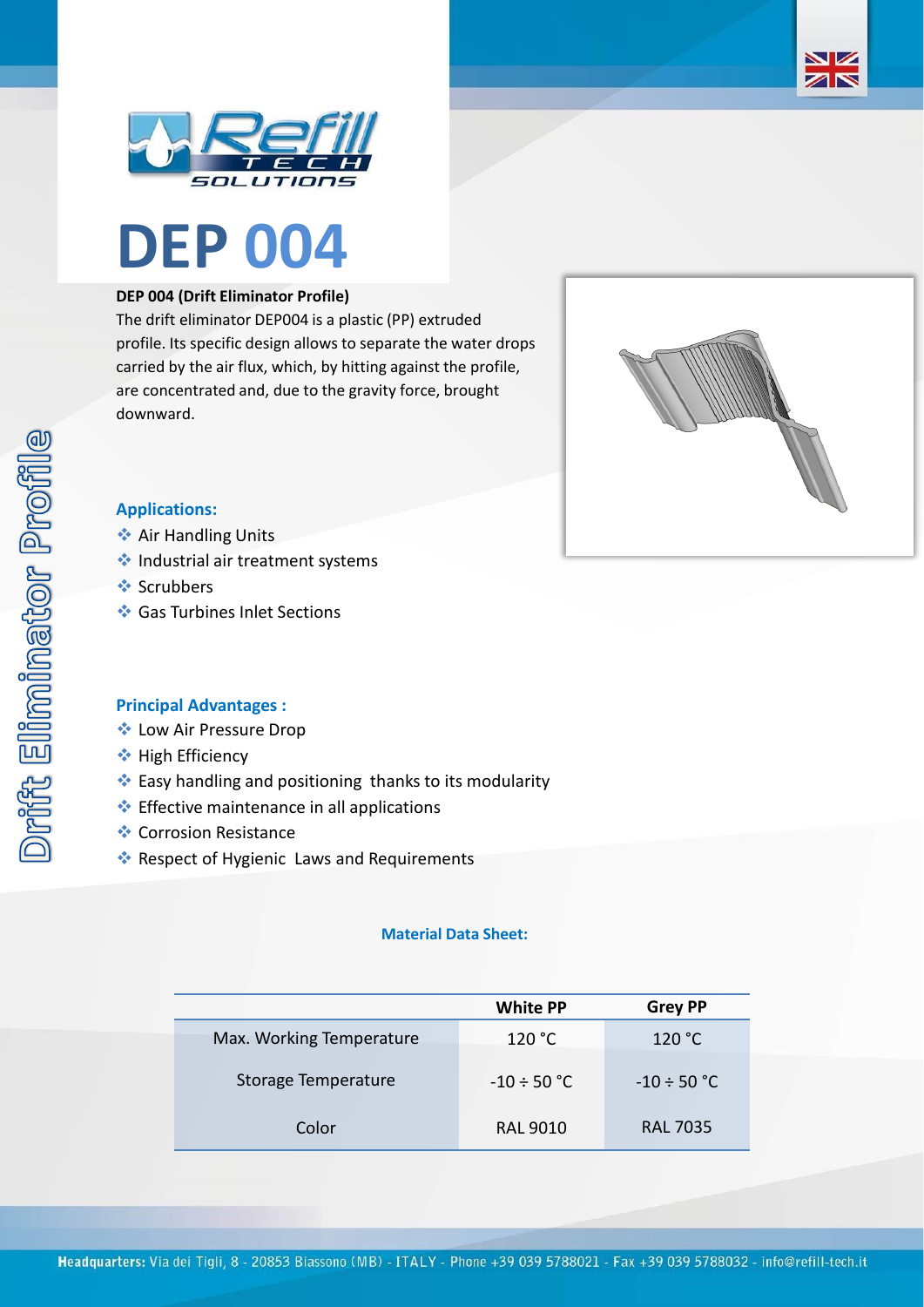





### **DEP 004 (Drift Eliminator Profile)**

The drift eliminator DEP004 is a plastic (PP) extruded profile. Its specific design allows to separate the water drops carried by the air flux, which, by hitting against the profile, are concentrated and, due to the gravity force, brought downward.



## **Applications:**

- **❖ Air Handling Units**
- ❖ Industrial air treatment systems
- ❖ Scrubbers
- ❖ Gas Turbines Inlet Sections

#### **Principal Advantages :**

- ❖ Low Air Pressure Drop
- ❖ High Efficiency
- ❖ Easy handling and positioning thanks to its modularity
- ❖ Effective maintenance in all applications
- ❖ Corrosion Resistance
- ❖ Respect of Hygienic Laws and Requirements

#### **Material Data Sheet:**

|                          | <b>White PP</b>  | <b>Grey PP</b>   |
|--------------------------|------------------|------------------|
| Max. Working Temperature | 120 °C           | 120 °C           |
| Storage Temperature      | $-10 \div 50$ °C | $-10 \div 50$ °C |
| Color                    | <b>RAL 9010</b>  | <b>RAL 7035</b>  |